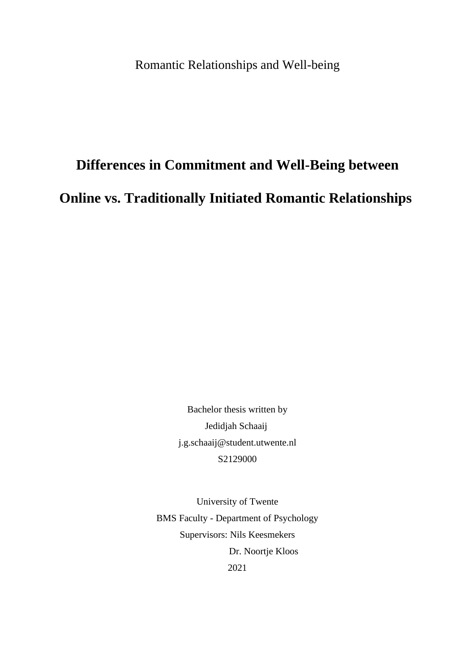Romantic Relationships and Well-being

# **Differences in Commitment and Well-Being between Online vs. Traditionally Initiated Romantic Relationships**

Bachelor thesis written by Jedidjah Schaaij j.g.schaaij@student.utwente.nl S2129000

University of Twente BMS Faculty - Department of Psychology Supervisors: Nils Keesmekers Dr. Noortje Kloos 2021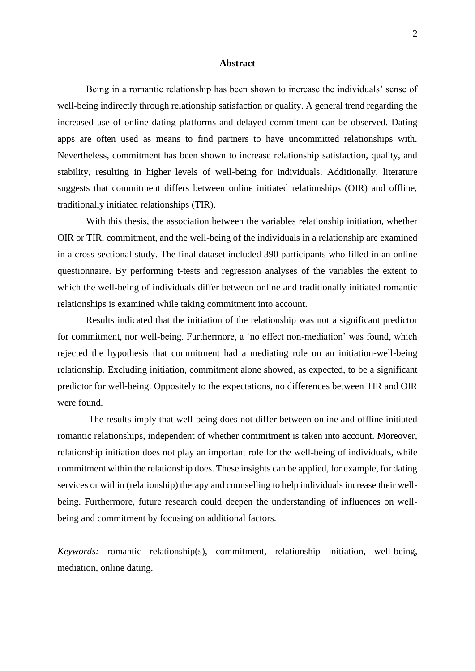#### **Abstract**

Being in a romantic relationship has been shown to increase the individuals' sense of well-being indirectly through relationship satisfaction or quality. A general trend regarding the increased use of online dating platforms and delayed commitment can be observed. Dating apps are often used as means to find partners to have uncommitted relationships with. Nevertheless, commitment has been shown to increase relationship satisfaction, quality, and stability, resulting in higher levels of well-being for individuals. Additionally, literature suggests that commitment differs between online initiated relationships (OIR) and offline, traditionally initiated relationships (TIR).

With this thesis, the association between the variables relationship initiation, whether OIR or TIR, commitment, and the well-being of the individuals in a relationship are examined in a cross-sectional study. The final dataset included 390 participants who filled in an online questionnaire. By performing t-tests and regression analyses of the variables the extent to which the well-being of individuals differ between online and traditionally initiated romantic relationships is examined while taking commitment into account.

Results indicated that the initiation of the relationship was not a significant predictor for commitment, nor well-being. Furthermore, a 'no effect non-mediation' was found, which rejected the hypothesis that commitment had a mediating role on an initiation-well-being relationship. Excluding initiation, commitment alone showed, as expected, to be a significant predictor for well-being. Oppositely to the expectations, no differences between TIR and OIR were found.

The results imply that well-being does not differ between online and offline initiated romantic relationships, independent of whether commitment is taken into account. Moreover, relationship initiation does not play an important role for the well-being of individuals, while commitment within the relationship does. These insights can be applied, for example, for dating services or within (relationship) therapy and counselling to help individuals increase their wellbeing. Furthermore, future research could deepen the understanding of influences on wellbeing and commitment by focusing on additional factors.

*Keywords:* romantic relationship(s), commitment, relationship initiation, well-being, mediation, online dating.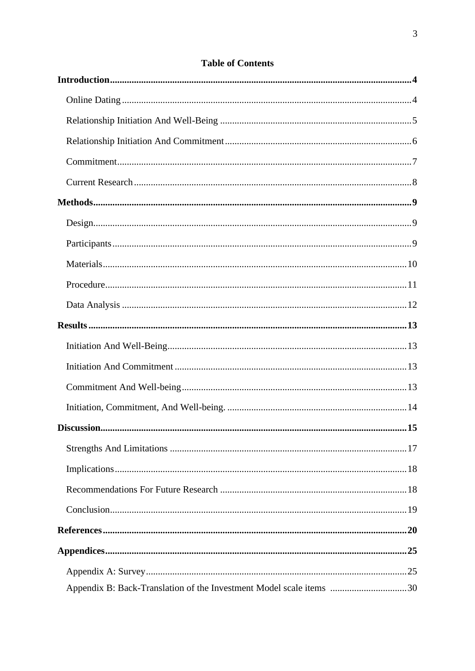<span id="page-2-0"></span>

| Appendix B: Back-Translation of the Investment Model scale items 30 |  |
|---------------------------------------------------------------------|--|

# **Table of Contents**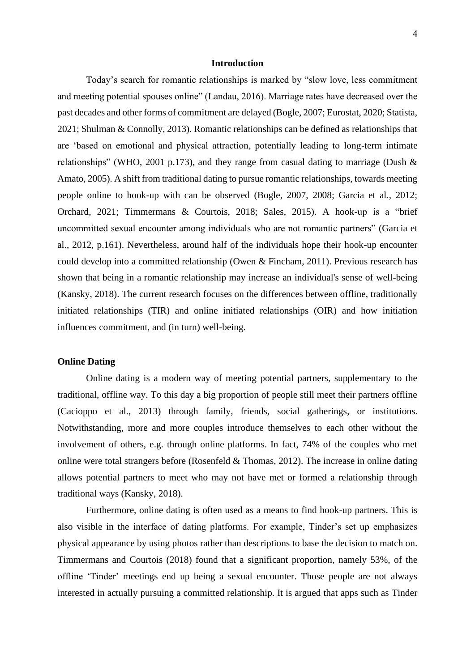#### **Introduction**

Today's search for romantic relationships is marked by "slow love, less commitment and meeting potential spouses online" (Landau, 2016). Marriage rates have decreased over the past decades and other forms of commitment are delayed (Bogle, 2007; Eurostat, 2020; Statista, 2021; Shulman & Connolly, 2013). Romantic relationships can be defined as relationships that are 'based on emotional and physical attraction, potentially leading to long-term intimate relationships" [\(WH](https://www.sciencedirect.com/science/article/pii/S0747563217303734?casa_token=PpTk3Rr_TMAAAAAA:6-bAraw_A5iM9zBwB6ZPkTNnje406NePHMcFSOrjuxcy73FR6umXIrX1uhU530NktUh4AZkYYDE#bib67)O, 2001 p.173), and they range from casual dating to marriage (Dush  $\&$ Amato, 2005). A shift from traditional dating to pursue romantic relationships, towards meeting people online to hook-up with can be observed [\(Bogle, 2007](https://journals.sagepub.com/doi/full/10.1037/a0027911?casa_token=ODr6dqXld_wAAAAA%3Am050rarIFwps37SN9Aa9XbjQUYk65MWxa3Js7BtyBiVw9mBO1ZaooTbe-oHkz1ohush1eCEuHu-yuQ), 2008; Garcia et al., 2012; Orchard, 2021; Timmermans & Courtois, 2018; Sales, 2015). A hook-up is a "brief uncommitted sexual encounter among individuals who are not romantic partners" (Garcia et al., 2012, p.161). Nevertheless, around half of the individuals hope their hook-up encounter could develop into a committed relationship (Owen & Fincham, 2011). Previous research has shown that being in a romantic relationship may increase an individual's sense of well-being (Kansky, 2018). The current research focuses on the differences between offline, traditionally initiated relationships (TIR) and online initiated relationships (OIR) and how initiation influences commitment, and (in turn) well-being.

# <span id="page-3-0"></span>**Online Dating**

Online dating is a modern way of meeting potential partners, supplementary to the traditional, offline way. To this day a big proportion of people still meet their partners offline (Cacioppo et al., 2013) through family, friends, social gatherings, or institutions. Notwithstanding, more and more couples introduce themselves to each other without the involvement of others, e.g. through online platforms. In fact, 74% of the couples who met online were total strangers before (Rosenfeld  $&$  Thomas, 2012). The increase in online dating allows potential partners to meet who may not have met or formed a relationship through traditional ways (Kansky, 2018).

Furthermore, online dating is often used as a means to find hook-up partners. This is also visible in the interface of dating platforms. For example, Tinder's set up emphasizes physical appearance by using photos rather than descriptions to base the decision to match on. Timmermans and Courtois (2018) found that a significant proportion, namely 53%, of the offline 'Tinder' meetings end up being a sexual encounter. Those people are not always interested in actually pursuing a committed relationship. It is argued that apps such as Tinder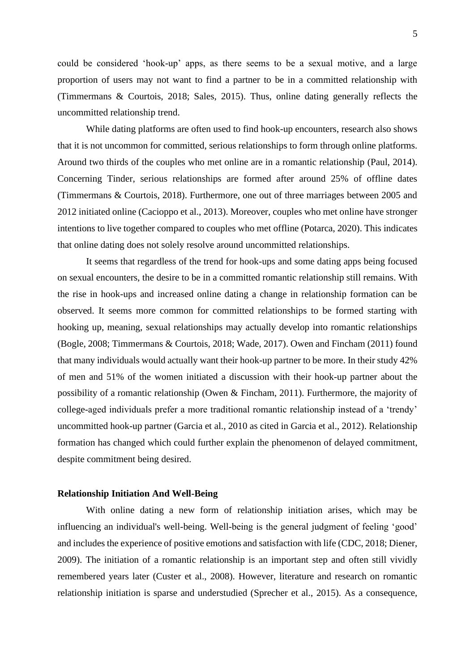could be considered 'hook-up' apps, as there seems to be a sexual motive, and a large proportion of users may not want to find a partner to be in a committed relationship with (Timmermans & Courtois, 2018; Sales, 2015). Thus, online dating generally reflects the uncommitted relationship trend.

While dating platforms are often used to find hook-up encounters, research also shows that it is not uncommon for committed, serious relationships to form through online platforms. Around two thirds of the couples who met online are in a romantic relationship (Paul, 2014). Concerning Tinder, serious relationships are formed after around 25% of offline dates (Timmermans & Courtois, 2018). Furthermore, one out of three marriages between 2005 and 2012 initiated online (Cacioppo et al., 2013). Moreover, couples who met online have stronger intentions to live together compared to couples who met offline (Potarca, 2020). This indicates that online dating does not solely resolve around uncommitted relationships.

It seems that regardless of the trend for hook-ups and some dating apps being focused on sexual encounters, the desire to be in a committed romantic relationship still remains. With the rise in hook-ups and increased online dating a change in relationship formation can be observed. It seems more common for committed relationships to be formed starting with hooking up, meaning, sexual relationships may actually develop into romantic relationships (Bogle, [2008;](https://www.tandfonline.com/doi/full/10.1080/01972243.2017.1414093?casa_token=CsHp6xPbTyMAAAAA%3AtjJx6jyIwA1O9E1VieqLXhvCGGcPZVx8mYwlzBzkrjrCWQ2jfMoLxm8FS9EJL1UO0re3Hu-FBsDtHw) Timmermans & Courtois, 2018; Wade, [2017\)](https://www.tandfonline.com/doi/full/10.1080/01972243.2017.1414093?casa_token=CsHp6xPbTyMAAAAA%3AtjJx6jyIwA1O9E1VieqLXhvCGGcPZVx8mYwlzBzkrjrCWQ2jfMoLxm8FS9EJL1UO0re3Hu-FBsDtHw). Owen and Fincham (2011) found that many individuals would actually want their hook-up partner to be more. In their study 42% of men and 51% of the women initiated a discussion with their hook-up partner about the possibility of a romantic relationship (Owen & Fincham, 2011). Furthermore, the majority of college-aged individuals prefer a more traditional romantic relationship instead of a 'trendy' uncommitted hook-up partner [\(Garcia](https://journals.sagepub.com/doi/full/10.1037/a0027911?casa_token=ODr6dqXld_wAAAAA%3Am050rarIFwps37SN9Aa9XbjQUYk65MWxa3Js7BtyBiVw9mBO1ZaooTbe-oHkz1ohush1eCEuHu-yuQ) [et al., 2010](https://journals.sagepub.com/doi/full/10.1037/a0027911?casa_token=ODr6dqXld_wAAAAA%3Am050rarIFwps37SN9Aa9XbjQUYk65MWxa3Js7BtyBiVw9mBO1ZaooTbe-oHkz1ohush1eCEuHu-yuQ) as cited in Garcia et al., 2012). Relationship formation has changed which could further explain the phenomenon of delayed commitment, despite commitment being desired.

# <span id="page-4-0"></span>**Relationship Initiation And Well-Being**

With online dating a new form of relationship initiation arises, which may be influencing an individual's well-being. Well-being is the general judgment of feeling 'good' and includes the experience of positive emotions and satisfaction with life (CDC, 2018; Diener, 2009). The initiation of a romantic relationship is an important step and often still vividly remembered years later (Custer et al., 2008). However, literature and research on romantic relationship initiation is sparse and understudied (Sprecher et al., 2015). As a consequence,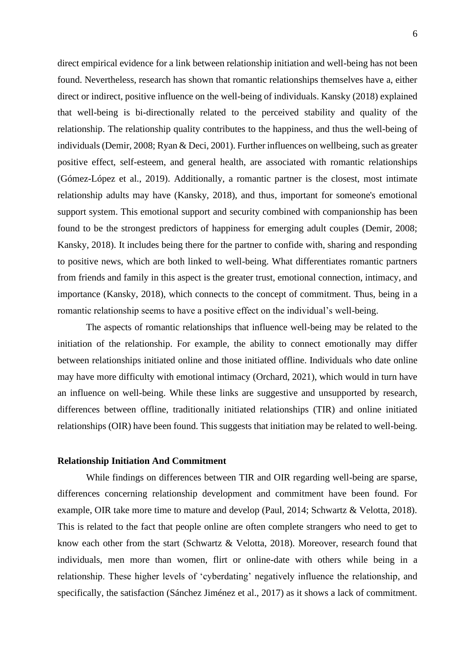direct empirical evidence for a link between relationship initiation and well-being has not been found. Nevertheless, research has shown that romantic relationships themselves have a, either direct or indirect, positive influence on the well-being of individuals. Kansky (2018) explained that well-being is bi-directionally related to the perceived stability and quality of the relationship. The relationship quality contributes to the happiness, and thus the well-being of individuals(Demir, 2008; Ryan & Deci, 2001). Further influences on wellbeing, such as greater positive effect, self-esteem, and general health, are associated with romantic relationships (Gómez-López et al., 2019). Additionally, a romantic partner is the closest, most intimate relationship adults may have (Kansky, 2018), and thus, important for someone's emotional support system. This emotional support and security combined with companionship has been found to be the strongest predictors of happiness for emerging adult couples (Demir, 2008; Kansky, 2018). It includes being there for the partner to confide with, sharing and responding to positive news, which are both linked to well-being. What differentiates romantic partners from friends and family in this aspect is the greater trust, emotional connection, intimacy, and importance (Kansky, 2018), which connects to the concept of commitment. Thus, being in a romantic relationship seems to have a positive effect on the individual's well-being.

The aspects of romantic relationships that influence well-being may be related to the initiation of the relationship. For example, the ability to connect emotionally may differ between relationships initiated online and those initiated offline. Individuals who date online may have more difficulty with emotional intimacy (Orchard, 2021), which would in turn have an influence on well-being. While these links are suggestive and unsupported by research, differences between offline, traditionally initiated relationships (TIR) and online initiated relationships (OIR) have been found. This suggests that initiation may be related to well-being.

#### <span id="page-5-0"></span>**Relationship Initiation And Commitment**

While findings on differences between TIR and OIR regarding well-being are sparse, differences concerning relationship development and commitment have been found. For example, OIR take more time to mature and develop (Paul, 2014; Schwartz & Velotta, 2018). This is related to the fact that people online are often complete strangers who need to get to know each other from the start (Schwartz & Velotta, 2018). Moreover, research found that individuals, men more than women, flirt or online-date with others while being in a relationship. These higher levels of 'cyberdating' negatively influence the relationship, and specifically, the satisfaction (Sánchez Jiménez et al., 2017) as it shows a lack of commitment.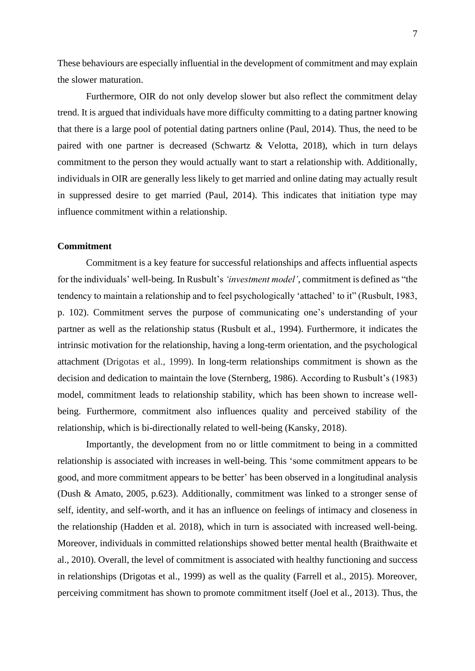These behaviours are especially influential in the development of commitment and may explain the slower maturation.

Furthermore, OIR do not only develop slower but also reflect the commitment delay trend. It is argued that individuals have more difficulty committing to a dating partner knowing that there is a large pool of potential dating partners online (Paul, 2014). Thus, the need to be paired with one partner is decreased (Schwartz & Velotta, 2018), which in turn delays commitment to the person they would actually want to start a relationship with. Additionally, individuals in OIR are generally less likely to get married and online dating may actually result in suppressed desire to get married (Paul, 2014). This indicates that initiation type may influence commitment within a relationship.

#### <span id="page-6-0"></span>**Commitment**

Commitment is a key feature for successful relationships and affects influential aspects for the individuals' well-being. In Rusbult's *'investment model'*, commitment is defined as "the tendency to maintain a relationship and to feel psychologically 'attached' to it" (Rusbult, 1983, p. 102). Commitment serves the purpose of communicating one's understanding of your partner as well as the relationship status (Rusbult et al., 1994). Furthermore, it indicates the intrinsic motivation for the relationship, having a long-term orientation, and the psychological attachment (Drigotas et al., 1999). In long-term relationships commitment is shown as the decision and dedication to maintain the love (Sternberg, 1986). According to Rusbult's (1983) model, commitment leads to relationship stability, which has been shown to increase wellbeing. Furthermore, commitment also influences quality and perceived stability of the relationship, which is bi-directionally related to well-being (Kansky, 2018).

Importantly, the development from no or little commitment to being in a committed relationship is associated with increases in well-being. This 'some commitment appears to be good, and more commitment appears to be better' has been observed in a longitudinal analysis (Dush & Amato, 2005, p.623). Additionally, commitment was linked to a stronger sense of self, identity, and self-worth, and it has an influence on feelings of intimacy and closeness in the relationship (Hadden et al. 2018), which in turn is associated with increased well-being. Moreover, individuals in committed relationships showed better mental health (Braithwaite et al., 2010). Overall, the level of commitment is associated with healthy functioning and success in relationships (Drigotas et al., 1999) as well as the quality (Farrell et al., 2015). Moreover, perceiving commitment has shown to promote commitment itself (Joel et al., 2013). Thus, the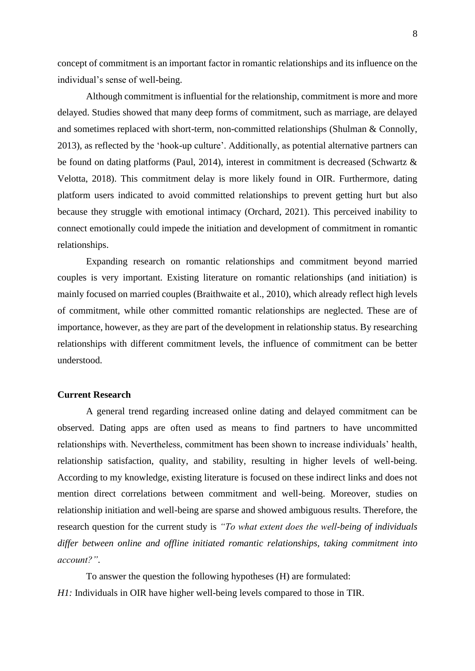concept of commitment is an important factor in romantic relationships and its influence on the individual's sense of well-being.

Although commitment is influential for the relationship, commitment is more and more delayed. Studies showed that many deep forms of commitment, such as marriage, are delayed and sometimes replaced with short-term, non-committed relationships (Shulman & Connolly, 2013), as reflected by the 'hook-up culture'. Additionally, as potential alternative partners can be found on dating platforms (Paul, 2014), interest in commitment is decreased (Schwartz & Velotta, 2018). This commitment delay is more likely found in OIR. Furthermore, dating platform users indicated to avoid committed relationships to prevent getting hurt but also because they struggle with emotional intimacy (Orchard, 2021). This perceived inability to connect emotionally could impede the initiation and development of commitment in romantic relationships.

Expanding research on romantic relationships and commitment beyond married couples is very important. Existing literature on romantic relationships (and initiation) is mainly focused on married couples (Braithwaite et al., 2010), which already reflect high levels of commitment, while other committed romantic relationships are neglected. These are of importance, however, as they are part of the development in relationship status. By researching relationships with different commitment levels, the influence of commitment can be better understood.

# <span id="page-7-0"></span>**Current Research**

A general trend regarding increased online dating and delayed commitment can be observed. Dating apps are often used as means to find partners to have uncommitted relationships with. Nevertheless, commitment has been shown to increase individuals' health, relationship satisfaction, quality, and stability, resulting in higher levels of well-being. According to my knowledge, existing literature is focused on these indirect links and does not mention direct correlations between commitment and well-being. Moreover, studies on relationship initiation and well-being are sparse and showed ambiguous results. Therefore, the research question for the current study is *"To what extent does the well-being of individuals differ between online and offline initiated romantic relationships, taking commitment into account?"*.

To answer the question the following hypotheses (H) are formulated: *H1*: Individuals in OIR have higher well-being levels compared to those in TIR.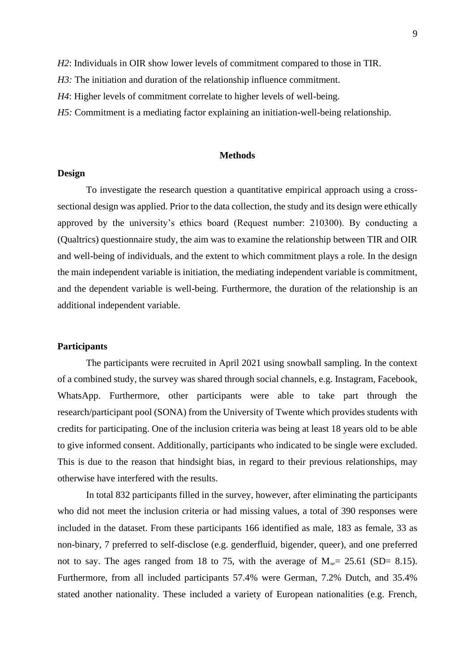*H2*: Individuals in OIR show lower levels of commitment compared to those in TIR.

*H3*: The initiation and duration of the relationship influence commitment.

*H4*: Higher levels of commitment correlate to higher levels of well-being.

*H5:* Commitment is a mediating factor explaining an initiation-well-being relationship.

#### **Methods**

#### <span id="page-8-1"></span><span id="page-8-0"></span>**Design**

To investigate the research question a quantitative empirical approach using a crosssectional design was applied. Prior to the data collection, the study and its design were ethically approved by the university's ethics board (Request number: 210300). By conducting a (Qualtrics) questionnaire study, the aim was to examine the relationship between TIR and OIR and well-being of individuals, and the extent to which commitment plays a role. In the design the main independent variable is initiation, the mediating independent variable is commitment, and the dependent variable is well-being. Furthermore, the duration of the relationship is an additional independent variable.

## <span id="page-8-2"></span>**Participants**

The participants were recruited in April 2021 using snowball sampling. In the context of a combined study, the survey was shared through social channels, e.g. Instagram, Facebook, WhatsApp. Furthermore, other participants were able to take part through the research/participant pool (SONA) from the University of Twente which provides students with credits for participating. One of the inclusion criteria was being at least 18 years old to be able to give informed consent. Additionally, participants who indicated to be single were excluded. This is due to the reason that hindsight bias, in regard to their previous relationships, may otherwise have interfered with the results.

In total 832 participants filled in the survey, however, after eliminating the participants who did not meet the inclusion criteria or had missing values, a total of 390 responses were included in the dataset. From these participants 166 identified as male, 183 as female, 33 as non-binary, 7 preferred to self-disclose (e.g. genderfluid, bigender, queer), and one preferred not to say. The ages ranged from 18 to 75, with the average of  $M_{\text{use}}= 25.61$  (SD= 8.15). Furthermore, from all included participants 57.4% were German, 7.2% Dutch, and 35.4% stated another nationality. These included a variety of European nationalities (e.g. French,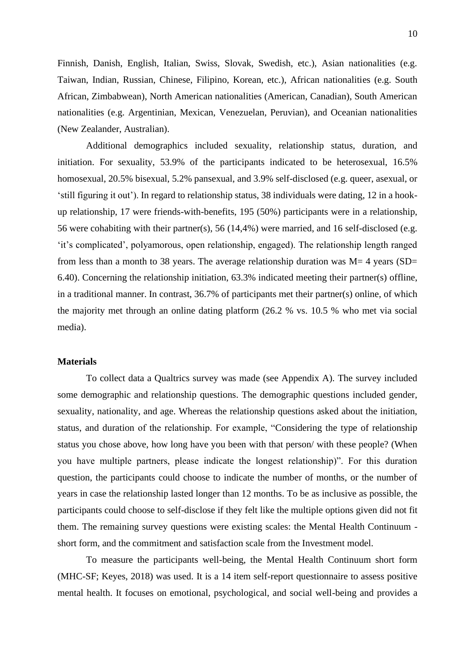Finnish, Danish, English, Italian, Swiss, Slovak, Swedish, etc.), Asian nationalities (e.g. Taiwan, Indian, Russian, Chinese, Filipino, Korean, etc.), African nationalities (e.g. South African, Zimbabwean), North American nationalities (American, Canadian), South American nationalities (e.g. Argentinian, Mexican, Venezuelan, Peruvian), and Oceanian nationalities (New Zealander, Australian).

Additional demographics included sexuality, relationship status, duration, and initiation. For sexuality, 53.9% of the participants indicated to be heterosexual, 16.5% homosexual, 20.5% bisexual, 5.2% pansexual, and 3.9% self-disclosed (e.g. queer, asexual, or 'still figuring it out'). In regard to relationship status, 38 individuals were dating, 12 in a hookup relationship, 17 were friends-with-benefits, 195 (50%) participants were in a relationship, 56 were cohabiting with their partner(s), 56 (14,4%) were married, and 16 self-disclosed (e.g. 'it's complicated', polyamorous, open relationship, engaged). The relationship length ranged from less than a month to 38 years. The average relationship duration was  $M=4$  years (SD= 6.40). Concerning the relationship initiation, 63.3% indicated meeting their partner(s) offline, in a traditional manner. In contrast, 36.7% of participants met their partner(s) online, of which the majority met through an online dating platform (26.2 % vs. 10.5 % who met via social media).

# <span id="page-9-0"></span>**Materials**

To collect data a Qualtrics survey was made (see Appendix A). The survey included some demographic and relationship questions. The demographic questions included gender, sexuality, nationality, and age. Whereas the relationship questions asked about the initiation, status, and duration of the relationship. For example, "Considering the type of relationship status you chose above, how long have you been with that person/ with these people? (When you have multiple partners, please indicate the longest relationship)". For this duration question, the participants could choose to indicate the number of months, or the number of years in case the relationship lasted longer than 12 months. To be as inclusive as possible, the participants could choose to self-disclose if they felt like the multiple options given did not fit them. The remaining survey questions were existing scales: the Mental Health Continuum short form, and the commitment and satisfaction scale from the Investment model.

To measure the participants well-being, the Mental Health Continuum short form (MHC-SF; Keyes, 2018) was used. It is a 14 item self-report questionnaire to assess positive mental health. It focuses on emotional, psychological, and social well-being and provides a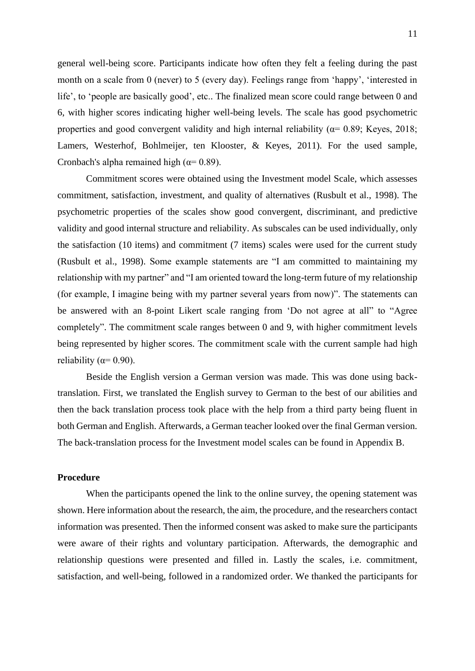general well-being score. Participants indicate how often they felt a feeling during the past month on a scale from 0 (never) to 5 (every day). Feelings range from 'happy', 'interested in life', to 'people are basically good', etc.. The finalized mean score could range between 0 and 6, with higher scores indicating higher well-being levels. The scale has good psychometric properties and good convergent validity and high internal reliability ( $\alpha$ = 0.89; Keyes, 2018; Lamers, Westerhof, Bohlmeijer, ten Klooster, & Keyes, 2011). For the used sample, Cronbach's alpha remained high ( $\alpha$ = 0.89).

Commitment scores were obtained using the Investment model Scale, which assesses commitment, satisfaction, investment, and quality of alternatives (Rusbult et al., 1998). The psychometric properties of the scales show good convergent, discriminant, and predictive validity and good internal structure and reliability. As subscales can be used individually, only the satisfaction (10 items) and commitment (7 items) scales were used for the current study (Rusbult et al., 1998). Some example statements are "I am committed to maintaining my relationship with my partner" and "I am oriented toward the long-term future of my relationship (for example, I imagine being with my partner several years from now)". The statements can be answered with an 8-point Likert scale ranging from 'Do not agree at all" to "Agree completely". The commitment scale ranges between 0 and 9, with higher commitment levels being represented by higher scores. The commitment scale with the current sample had high reliability ( $\alpha$ = 0.90).

Beside the English version a German version was made. This was done using backtranslation. First, we translated the English survey to German to the best of our abilities and then the back translation process took place with the help from a third party being fluent in both German and English. Afterwards, a German teacher looked over the final German version. The back-translation process for the Investment model scales can be found in Appendix B.

# <span id="page-10-0"></span>**Procedure**

When the participants opened the link to the online survey, the opening statement was shown. Here information about the research, the aim, the procedure, and the researchers contact information was presented. Then the informed consent was asked to make sure the participants were aware of their rights and voluntary participation. Afterwards, the demographic and relationship questions were presented and filled in. Lastly the scales, i.e. commitment, satisfaction, and well-being, followed in a randomized order. We thanked the participants for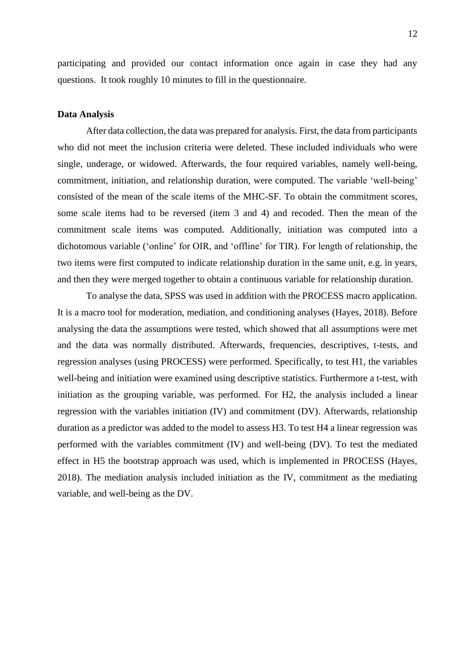participating and provided our contact information once again in case they had any questions. It took roughly 10 minutes to fill in the questionnaire.

#### <span id="page-11-0"></span>**Data Analysis**

After data collection, the data was prepared for analysis. First, the data from participants who did not meet the inclusion criteria were deleted. These included individuals who were single, underage, or widowed. Afterwards, the four required variables, namely well-being, commitment, initiation, and relationship duration, were computed. The variable 'well-being' consisted of the mean of the scale items of the MHC-SF. To obtain the commitment scores, some scale items had to be reversed (item 3 and 4) and recoded. Then the mean of the commitment scale items was computed. Additionally, initiation was computed into a dichotomous variable ('online' for OIR, and 'offline' for TIR). For length of relationship, the two items were first computed to indicate relationship duration in the same unit, e.g. in years, and then they were merged together to obtain a continuous variable for relationship duration.

<span id="page-11-1"></span>To analyse the data, SPSS was used in addition with the PROCESS macro application. It is a macro tool for moderation, mediation, and conditioning analyses (Hayes, 2018). Before analysing the data the assumptions were tested, which showed that all assumptions were met and the data was normally distributed. Afterwards, frequencies, descriptives, t-tests, and regression analyses (using PROCESS) were performed. Specifically, to test H1, the variables well-being and initiation were examined using descriptive statistics. Furthermore a t-test, with initiation as the grouping variable, was performed. For H2, the analysis included a linear regression with the variables initiation (IV) and commitment (DV). Afterwards, relationship duration as a predictor was added to the model to assess H3. To test H4 a linear regression was performed with the variables commitment (IV) and well-being (DV). To test the mediated effect in H5 the bootstrap approach was used, which is implemented in PROCESS (Hayes, 2018). The mediation analysis included initiation as the IV, commitment as the mediating variable, and well-being as the DV.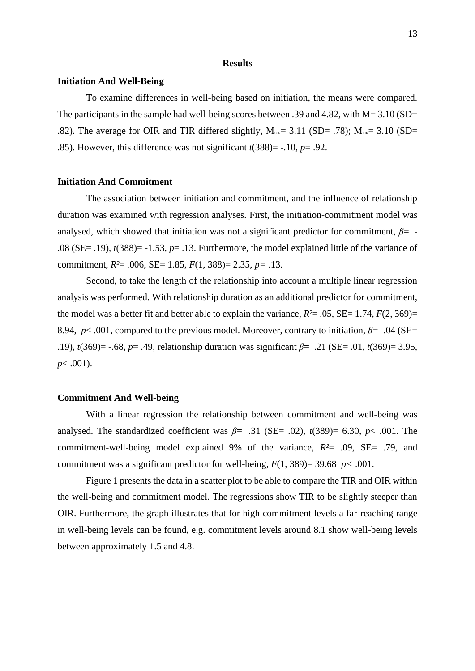#### **Results**

## <span id="page-12-0"></span>**Initiation And Well-Being**

To examine differences in well-being based on initiation, the means were compared. The participants in the sample had well-being scores between .39 and 4.82, with  $M = 3.10$  (SD= .82). The average for OIR and TIR differed slightly,  $M_{\text{OR}}= 3.11$  (SD= .78);  $M_{\text{TR}}= 3.10$  (SD= .85). However, this difference was not significant *t*(388)= -.10, *p*= .92.

# <span id="page-12-1"></span>**Initiation And Commitment**

The association between initiation and commitment, and the influence of relationship duration was examined with regression analyses. First, the initiation-commitment model was analysed, which showed that initiation was not a significant predictor for commitment, *β=* - .08 (SE= .19), *t*(388)= -1.53, *p*= .13. Furthermore, the model explained little of the variance of commitment, *R²*= .006, SE= 1.85, *F*(1, 388)= 2.35, *p=* .13.

Second, to take the length of the relationship into account a multiple linear regression analysis was performed. With relationship duration as an additional predictor for commitment, the model was a better fit and better able to explain the variance,  $R^2 = .05$ ,  $SE = 1.74$ ,  $F(2, 369) =$ 8.94,  $p < .001$ , compared to the previous model. Moreover, contrary to initiation,  $\beta$ = -.04 (SE= .19), *t*(369)= -.68, *p*= .49, relationship duration was significant *β=* .21 (SE= .01, *t*(369)= 3.95, *p*< .001).

## <span id="page-12-2"></span>**Commitment And Well-being**

With a linear regression the relationship between commitment and well-being was analysed. The standardized coefficient was  $\beta$ = .31 (SE= .02),  $t(389)$ = 6.30,  $p$ < .001. The commitment-well-being model explained 9% of the variance, *R²*= .09, SE= .79, and commitment was a significant predictor for well-being,  $F(1, 389) = 39.68$  *p* < 0.001.

Figure 1 presents the data in a scatter plot to be able to compare the TIR and OIR within the well-being and commitment model. The regressions show TIR to be slightly steeper than OIR. Furthermore, the graph illustrates that for high commitment levels a far-reaching range in well-being levels can be found, e.g. commitment levels around 8.1 show well-being levels between approximately 1.5 and 4.8.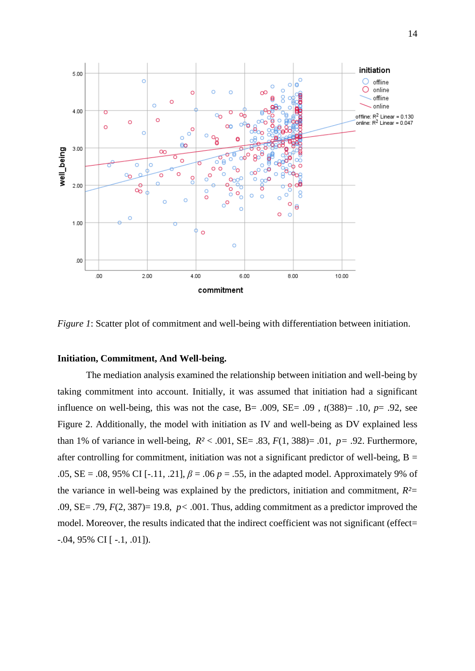

*Figure 1*: Scatter plot of commitment and well-being with differentiation between initiation.

# <span id="page-13-0"></span>**Initiation, Commitment, And Well-being.**

The mediation analysis examined the relationship between initiation and well-being by taking commitment into account. Initially, it was assumed that initiation had a significant influence on well-being, this was not the case,  $B = .009$ ,  $SE = .09$ ,  $t(388) = .10$ ,  $p = .92$ , see Figure 2. Additionally, the model with initiation as IV and well-being as DV explained less than 1% of variance in well-being,  $R^2 < .001$ ,  $SE = .83$ ,  $F(1, 388) = .01$ ,  $p = .92$ . Furthermore, after controlling for commitment, initiation was not a significant predictor of well-being,  $B =$ .05,  $SE = .08$ , 95% CI [-.11, .21],  $\beta = .06$   $p = .55$ , in the adapted model. Approximately 9% of the variance in well-being was explained by the predictors, initiation and commitment,  $R<sup>2</sup>$ .09, SE= .79, *F*(2, 387)= 19.8, *p<* .001. Thus, adding commitment as a predictor improved the model. Moreover, the results indicated that the indirect coefficient was not significant (effect=  $-0.04, 95\% \text{ CI}$  [  $-1, 0.01$ ]).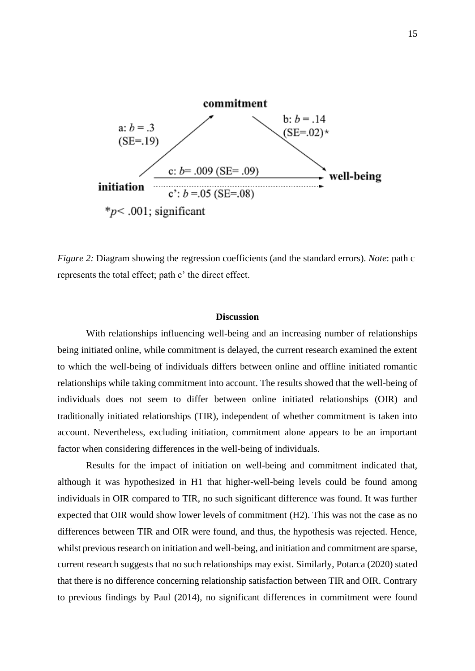

*Figure 2:* Diagram showing the regression coefficients (and the standard errors). *Note*: path c represents the total effect; path c' the direct effect.

#### **Discussion**

<span id="page-14-0"></span>With relationships influencing well-being and an increasing number of relationships being initiated online, while commitment is delayed, the current research examined the extent to which the well-being of individuals differs between online and offline initiated romantic relationships while taking commitment into account. The results showed that the well-being of individuals does not seem to differ between online initiated relationships (OIR) and traditionally initiated relationships (TIR), independent of whether commitment is taken into account. Nevertheless, excluding initiation, commitment alone appears to be an important factor when considering differences in the well-being of individuals.

Results for the impact of initiation on well-being and commitment indicated that, although it was hypothesized in H1 that higher-well-being levels could be found among individuals in OIR compared to TIR, no such significant difference was found. It was further expected that OIR would show lower levels of commitment (H2). This was not the case as no differences between TIR and OIR were found, and thus, the hypothesis was rejected. Hence, whilst previous research on initiation and well-being, and initiation and commitment are sparse, current research suggests that no such relationships may exist. Similarly, Potarca (2020) stated that there is no difference concerning relationship satisfaction between TIR and OIR. Contrary to previous findings by Paul (2014), no significant differences in commitment were found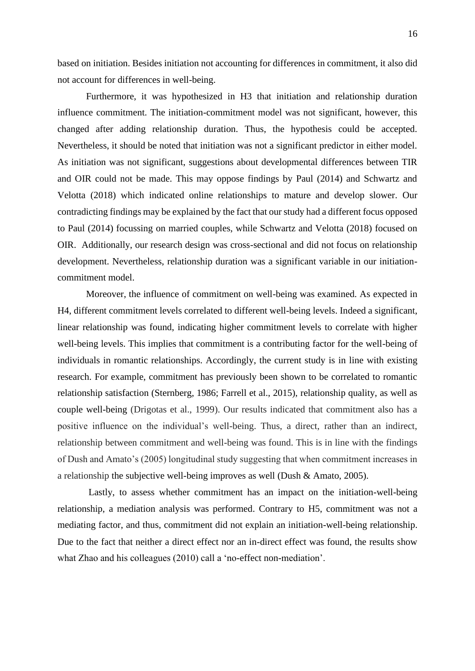based on initiation. Besides initiation not accounting for differences in commitment, it also did not account for differences in well-being.

Furthermore, it was hypothesized in H3 that initiation and relationship duration influence commitment. The initiation-commitment model was not significant, however, this changed after adding relationship duration. Thus, the hypothesis could be accepted. Nevertheless, it should be noted that initiation was not a significant predictor in either model. As initiation was not significant, suggestions about developmental differences between TIR and OIR could not be made. This may oppose findings by Paul (2014) and Schwartz and Velotta (2018) which indicated online relationships to mature and develop slower. Our contradicting findings may be explained by the fact that our study had a different focus opposed to Paul (2014) focussing on married couples, while Schwartz and Velotta (2018) focused on OIR. Additionally, our research design was cross-sectional and did not focus on relationship development. Nevertheless, relationship duration was a significant variable in our initiationcommitment model.

Moreover, the influence of commitment on well-being was examined. As expected in H4, different commitment levels correlated to different well-being levels. Indeed a significant, linear relationship was found, indicating higher commitment levels to correlate with higher well-being levels. This implies that commitment is a contributing factor for the well-being of individuals in romantic relationships. Accordingly, the current study is in line with existing research. For example, commitment has previously been shown to be correlated to romantic relationship satisfaction (Sternberg, 1986; Farrell et al., 2015), relationship quality, as well as couple well-being (Drigotas et al., 1999). Our results indicated that commitment also has a positive influence on the individual's well-being. Thus, a direct, rather than an indirect, relationship between commitment and well-being was found. This is in line with the findings of Dush and Amato's (2005) longitudinal study suggesting that when commitment increases in a relationship the subjective well-being improves as well (Dush & Amato, 2005).

Lastly, to assess whether commitment has an impact on the initiation-well-being relationship, a mediation analysis was performed. Contrary to H5, commitment was not a mediating factor, and thus, commitment did not explain an initiation-well-being relationship. Due to the fact that neither a direct effect nor an in-direct effect was found, the results show what Zhao and his colleagues (2010) call a 'no-effect non-mediation'.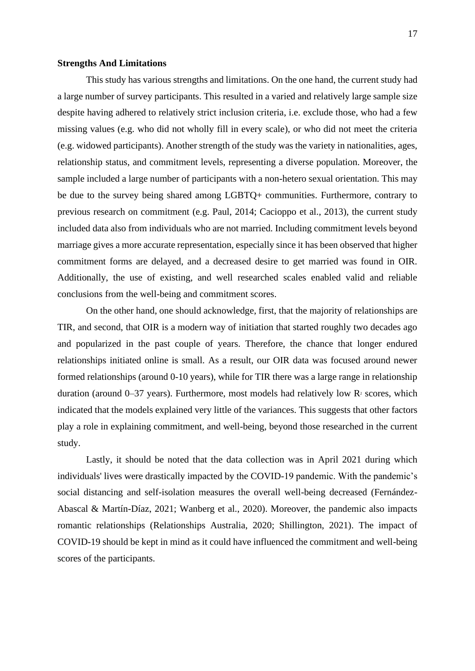#### <span id="page-16-0"></span>**Strengths And Limitations**

This study has various strengths and limitations. On the one hand, the current study had a large number of survey participants. This resulted in a varied and relatively large sample size despite having adhered to relatively strict inclusion criteria, i.e. exclude those, who had a few missing values (e.g. who did not wholly fill in every scale), or who did not meet the criteria (e.g. widowed participants). Another strength of the study was the variety in nationalities, ages, relationship status, and commitment levels, representing a diverse population. Moreover, the sample included a large number of participants with a non-hetero sexual orientation. This may be due to the survey being shared among LGBTQ+ communities. Furthermore, contrary to previous research on commitment (e.g. Paul, 2014; Cacioppo et al., 2013), the current study included data also from individuals who are not married. Including commitment levels beyond marriage gives a more accurate representation, especially since it has been observed that higher commitment forms are delayed, and a decreased desire to get married was found in OIR. Additionally, the use of existing, and well researched scales enabled valid and reliable conclusions from the well-being and commitment scores.

On the other hand, one should acknowledge, first, that the majority of relationships are TIR, and second, that OIR is a modern way of initiation that started roughly two decades ago and popularized in the past couple of years. Therefore, the chance that longer endured relationships initiated online is small. As a result, our OIR data was focused around newer formed relationships (around 0-10 years), while for TIR there was a large range in relationship duration (around  $0-37$  years). Furthermore, most models had relatively low  $\mathbb{R}^2$  scores, which indicated that the models explained very little of the variances. This suggests that other factors play a role in explaining commitment, and well-being, beyond those researched in the current study.

Lastly, it should be noted that the data collection was in April 2021 during which individuals' lives were drastically impacted by the COVID-19 pandemic. With the pandemic's social distancing and self-isolation measures the overall well-being decreased (Fernández-Abascal & Martín-Díaz, 2021; Wanberg et al., 2020). Moreover, the pandemic also impacts romantic relationships (Relationships Australia, 2020; Shillington, 2021). The impact of COVID-19 should be kept in mind as it could have influenced the commitment and well-being scores of the participants.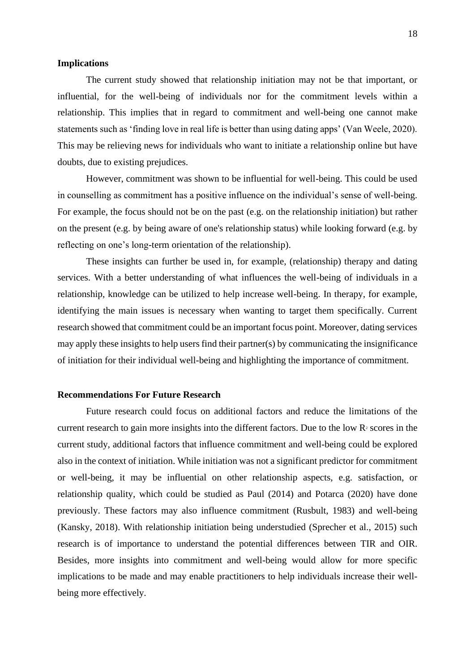#### <span id="page-17-0"></span>**Implications**

The current study showed that relationship initiation may not be that important, or influential, for the well-being of individuals nor for the commitment levels within a relationship. This implies that in regard to commitment and well-being one cannot make statements such as 'finding love in real life is better than using dating apps' (Van Weele, 2020). This may be relieving news for individuals who want to initiate a relationship online but have doubts, due to existing prejudices.

However, commitment was shown to be influential for well-being. This could be used in counselling as commitment has a positive influence on the individual's sense of well-being. For example, the focus should not be on the past (e.g. on the relationship initiation) but rather on the present (e.g. by being aware of one's relationship status) while looking forward (e.g. by reflecting on one's long-term orientation of the relationship).

These insights can further be used in, for example, (relationship) therapy and dating services. With a better understanding of what influences the well-being of individuals in a relationship, knowledge can be utilized to help increase well-being. In therapy, for example, identifying the main issues is necessary when wanting to target them specifically. Current research showed that commitment could be an important focus point. Moreover, dating services may apply these insights to help users find their partner(s) by communicating the insignificance of initiation for their individual well-being and highlighting the importance of commitment.

#### <span id="page-17-1"></span>**Recommendations For Future Research**

Future research could focus on additional factors and reduce the limitations of the current research to gain more insights into the different factors. Due to the low  $\mathbb{R}^2$  scores in the current study, additional factors that influence commitment and well-being could be explored also in the context of initiation. While initiation was not a significant predictor for commitment or well-being, it may be influential on other relationship aspects, e.g. satisfaction, or relationship quality, which could be studied as Paul (2014) and Potarca (2020) have done previously. These factors may also influence commitment (Rusbult, 1983) and well-being (Kansky, 2018). With relationship initiation being understudied (Sprecher et al., 2015) such research is of importance to understand the potential differences between TIR and OIR. Besides, more insights into commitment and well-being would allow for more specific implications to be made and may enable practitioners to help individuals increase their wellbeing more effectively.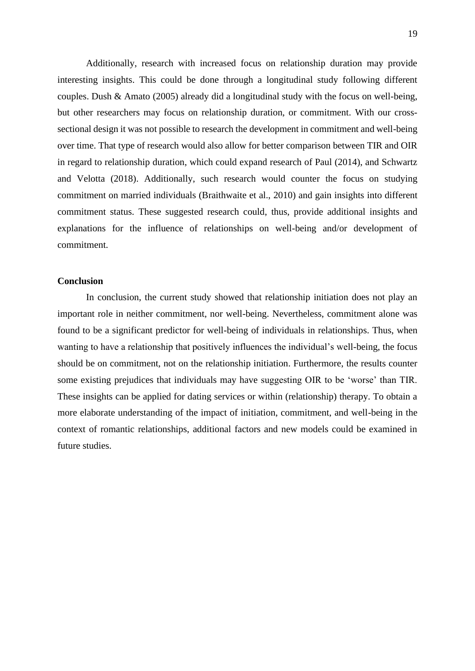Additionally, research with increased focus on relationship duration may provide interesting insights. This could be done through a longitudinal study following different couples. Dush & Amato (2005) already did a longitudinal study with the focus on well-being, but other researchers may focus on relationship duration, or commitment. With our crosssectional design it was not possible to research the development in commitment and well-being over time. That type of research would also allow for better comparison between TIR and OIR in regard to relationship duration, which could expand research of Paul (2014), and Schwartz and Velotta (2018). Additionally, such research would counter the focus on studying commitment on married individuals (Braithwaite et al., 2010) and gain insights into different commitment status. These suggested research could, thus, provide additional insights and explanations for the influence of relationships on well-being and/or development of commitment.

#### <span id="page-18-0"></span>**Conclusion**

In conclusion, the current study showed that relationship initiation does not play an important role in neither commitment, nor well-being. Nevertheless, commitment alone was found to be a significant predictor for well-being of individuals in relationships. Thus, when wanting to have a relationship that positively influences the individual's well-being, the focus should be on commitment, not on the relationship initiation. Furthermore, the results counter some existing prejudices that individuals may have suggesting OIR to be 'worse' than TIR. These insights can be applied for dating services or within (relationship) therapy. To obtain a more elaborate understanding of the impact of initiation, commitment, and well-being in the context of romantic relationships, additional factors and new models could be examined in future studies.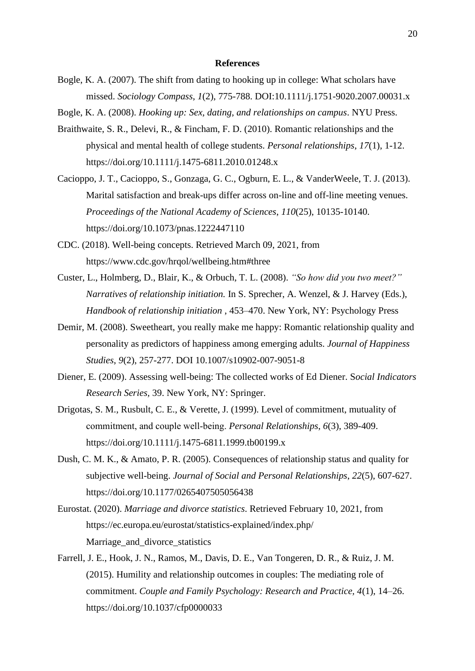#### **References**

- <span id="page-19-0"></span>Bogle, K. A. (2007). The shift from dating to hooking up in college: What scholars have missed. *Sociology Compass*, *1*(2), 775-788. DOI:10.1111/j.1751-9020.2007.00031.x
- Bogle, K. A. (2008). *Hooking up: Sex, dating, and relationships on campus*. NYU Press.
- Braithwaite, S. R., Delevi, R., & Fincham, F. D. (2010). Romantic relationships and the physical and mental health of college students. *Personal relationships*, *17*(1), 1-12. <https://doi.org/10.1111/j.1475-6811.2010.01248.x>
- Cacioppo, J. T., Cacioppo, S., Gonzaga, G. C., Ogburn, E. L., & VanderWeele, T. J. (2013). Marital satisfaction and break-ups differ across on-line and off-line meeting venues. *Proceedings of the National Academy of Sciences*, *110*(25), 10135-10140. https://doi.org/10.1073/pnas.1222447110
- CDC. (2018). Well-being concepts. Retrieved March 09, 2021, from https://www.cdc.gov/hrqol/wellbeing.htm#three
- Custer, L., Holmberg, D., Blair, K., & Orbuch, T. L. (2008). *"So how did you two meet?" Narratives of relationship initiation.* In S. Sprecher, A. Wenzel, & J. Harvey (Eds.), *Handbook of relationship initiation* , 453–470. New York, NY: Psychology Press
- Demir, M. (2008). Sweetheart, you really make me happy: Romantic relationship quality and personality as predictors of happiness among emerging adults. *Journal of Happiness Studies*, *9*(2), 257-277. DOI 10.1007/s10902-007-9051-8
- Diener, E. (2009). Assessing well-being: The collected works of Ed Diener. S*ocial Indicators Research Series,* 39. New York, NY: Springer.
- Drigotas, S. M., Rusbult, C. E., & Verette, J. (1999). Level of commitment, mutuality of commitment, and couple well‐being. *Personal Relationships*, *6*(3), 389-409. https://doi.org/10.1111/j.1475-6811.1999.tb00199.x
- Dush, C. M. K., & Amato, P. R. (2005). Consequences of relationship status and quality for subjective well-being. *Journal of Social and Personal Relationships*, *22*(5), 607-627. [https://doi.org/10.1177/0265407505056438](https://doi.org/10.1177%2F0265407505056438)
- Eurostat. (2020). *Marriage and divorce statistics*. Retrieved February 10, 2021, from https://ec.europa.eu/eurostat/statistics-explained/index.php/ Marriage\_and\_divorce\_statistics
- Farrell, J. E., Hook, J. N., Ramos, M., Davis, D. E., Van Tongeren, D. R., & Ruiz, J. M. (2015). Humility and relationship outcomes in couples: The mediating role of commitment. *Couple and Family Psychology: Research and Practice, 4*(1), 14–26. https://doi.org/10.1037/cfp0000033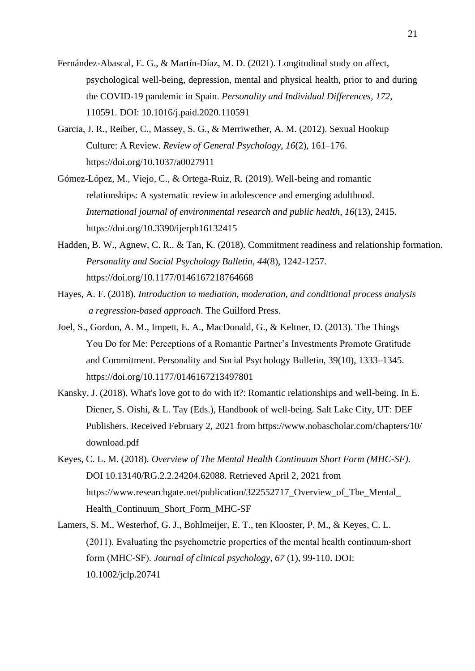- Fernández-Abascal, E. G., & Martín-Díaz, M. D. (2021). Longitudinal study on affect, psychological well-being, depression, mental and physical health, prior to and during the COVID-19 pandemic in Spain. *Personality and Individual Differences*, *172*, 110591. DOI: [10.1016/j.paid.2020.110591](https://doi.org/10.1016/j.paid.2020.110591)
- Garcia, J. R., Reiber, C., Massey, S. G., & Merriwether, A. M. (2012). Sexual Hookup Culture: A Review. *Review of General Psychology, 16*(2), 161–176. https://doi.org/10.1037/a0027911
- Gómez-López, M., Viejo, C., & Ortega-Ruiz, R. (2019). Well-being and romantic relationships: A systematic review in adolescence and emerging adulthood. *International journal of environmental research and public health*, *16*(13), 2415. https://doi.org/10.3390/ijerph16132415
- Hadden, B. W., Agnew, C. R., & Tan, K. (2018). Commitment readiness and relationship formation. *Personality and Social Psychology Bulletin*, *44*(8), 1242-1257. https://doi.org/10.1177/0146167218764668
- Hayes, A. F. (2018). *Introduction to mediation, moderation, and conditional process analysis a regression-based approach*. The Guilford Press.
- Joel, S., Gordon, A. M., Impett, E. A., MacDonald, G., & Keltner, D. (2013). The Things You Do for Me: Perceptions of a Romantic Partner's Investments Promote Gratitude and Commitment. Personality and Social Psychology Bulletin, 39(10), 1333–1345. https://doi.org/10.1177/0146167213497801
- Kansky, J. (2018). What's love got to do with it?: Romantic relationships and well-being. In E. Diener, S. Oishi, & L. Tay (Eds.), Handbook of well-being. Salt Lake City, UT: DEF Publishers. Received February 2, 2021 from https://www.nobascholar.com/chapters/10/ download.pdf
- Keyes, C. L. M. (2018). *Overview of The Mental Health Continuum Short Form (MHC-SF).* DOI 10.13140/RG.2.2.24204.62088. Retrieved April 2, 2021 from https://www.researchgate.net/publication/322552717\_Overview\_of\_The\_Mental\_ Health\_Continuum\_Short\_Form\_MHC-SF
- Lamers, S. M., Westerhof, G. J., Bohlmeijer, E. T., ten Klooster, P. M., & Keyes, C. L. (2011). Evaluating the psychometric properties of the mental health continuum‐short form (MHC‐SF). *Journal of clinical psychology, 67* (1), 99-110. DOI: [10.1002/jclp.20741](https://doi.org/10.1002/jclp.20741)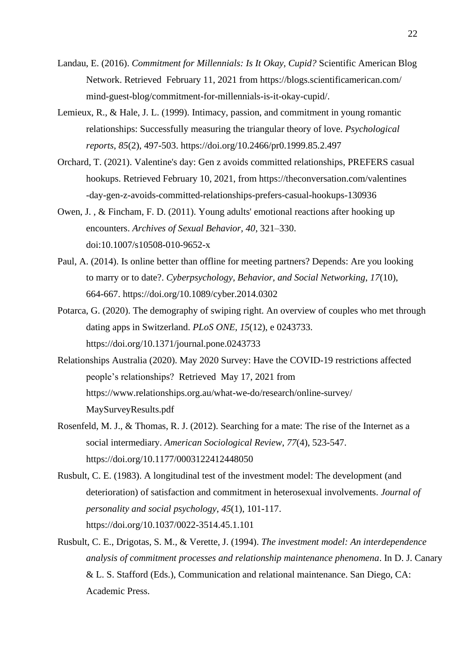- Landau, E. (2016). *Commitment for Millennials: Is It Okay, Cupid?* Scientific American Blog Network. Retrieved February 11, 2021 from https://blogs.scientificamerican.com/ mind-guest-blog/commitment-for-millennials-is-it-okay-cupid/.
- Lemieux, R., & Hale, J. L. (1999). Intimacy, passion, and commitment in young romantic relationships: Successfully measuring the triangular theory of love. *Psychological reports*, *85*(2), 497-503. https://doi.org/10.2466/pr0.1999.85.2.497
- Orchard, T. (2021). Valentine's day: Gen z avoids committed relationships, PREFERS casual hookups. Retrieved February 10, 2021, from https://theconversation.com/valentines -day-gen-z-avoids-committed-relationships-prefers-casual-hookups-130936
- Owen, J. , & Fincham, F. D. (2011). Young adults' emotional reactions after hooking up encounters. *Archives of Sexual Behavior, 40*, 321–330. doi:10.1007/s10508-010-9652-x
- Paul, A. (2014). Is online better than offline for meeting partners? Depends: Are you looking to marry or to date?. *Cyberpsychology, Behavior, and Social Networking*, *17*(10), 664-667.<https://doi.org/10.1089/cyber.2014.0302>
- Potarca, G. (2020). The demography of swiping right. An overview of couples who met through dating apps in Switzerland. *PLoS ONE*, *15*(12), e 0243733. <https://doi.org/10.1371/journal.pone.0243733>
- Relationships Australia (2020). May 2020 Survey: Have the COVID-19 restrictions affected people's relationships? Retrieved May 17, 2021 from https://www.relationships.org.au/what-we-do/research/online-survey/ MaySurveyResults.pdf
- Rosenfeld, M. J., & Thomas, R. J. (2012). Searching for a mate: The rise of the Internet as a social intermediary. *American Sociological Review*, *77*(4), 523-547. https://doi.org/10.1177/0003122412448050
- Rusbult, C. E. (1983). A longitudinal test of the investment model: The development (and deterioration) of satisfaction and commitment in heterosexual involvements. *Journal of personality and social psychology*, *45*(1), 101-117. https://doi.org/10.1037/0022-3514.45.1.101
- Rusbult, C. E., Drigotas, S. M., & Verette, J. (1994). *The investment model: An interdependence analysis of commitment processes and relationship maintenance phenomena*. In D. J. Canary & L. S. Stafford (Eds.), Communication and relational maintenance. San Diego, CA: Academic Press.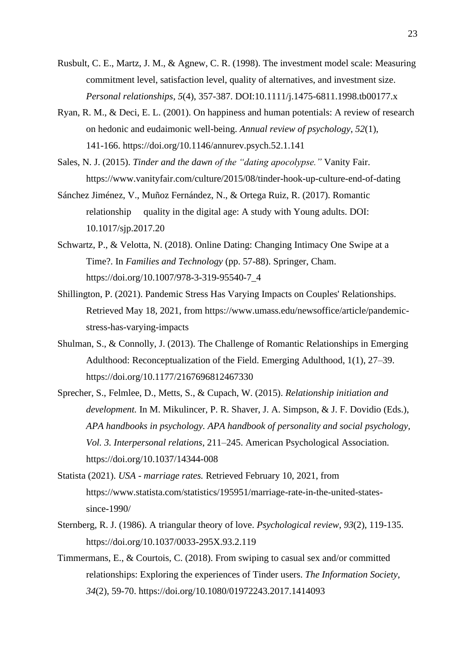- Rusbult, C. E., Martz, J. M., & Agnew, C. R. (1998). The investment model scale: Measuring commitment level, satisfaction level, quality of alternatives, and investment size. *Personal relationships*, *5*(4), 357-387. DOI:10.1111/j.1475-6811.1998.tb00177.x
- Ryan, R. M., & Deci, E. L. (2001). On happiness and human potentials: A review of research on hedonic and eudaimonic well-being. *Annual review of psychology*, *52*(1), 141-166. https://doi.org/10.1146/annurev.psych.52.1.141
- Sales, N. J. (2015). *Tinder and the dawn of the "dating apocolypse."* Vanity Fair. <https://www.vanityfair.com/culture/2015/08/tinder-hook-up-culture-end-of-dating>
- Sánchez Jiménez, V., Muñoz Fernández, N., & Ortega Ruiz, R. (2017). Romantic relationship quality in the digital age: A study with Young adults. DOI: [10.1017/sjp.2017.20](https://www.researchgate.net/deref/http%3A%2F%2Fdx.doi.org%2F10.1017%2Fsjp.2017.20)
- Schwartz, P., & Velotta, N. (2018). Online Dating: Changing Intimacy One Swipe at a Time?. In *Families and Technology* (pp. 57-88). Springer, Cham. https://doi.org/10.1007/978-3-319-95540-7\_4
- Shillington, P. (2021). Pandemic Stress Has Varying Impacts on Couples' Relationships. Retrieved May 18, 2021, from https://www.umass.edu/newsoffice/article/pandemicstress-has-varying-impacts
- Shulman, S., & Connolly, J. (2013). The Challenge of Romantic Relationships in Emerging Adulthood: Reconceptualization of the Field. Emerging Adulthood, 1(1), 27–39. https://doi.org/10.1177/2167696812467330
- Sprecher, S., Felmlee, D., Metts, S., & Cupach, W. (2015). *Relationship initiation and development.* In M. Mikulincer, P. R. Shaver, J. A. Simpson, & J. F. Dovidio (Eds.), *APA handbooks in psychology. APA handbook of personality and social psychology, Vol. 3. Interpersonal relations*, 211–245. American Psychological Association. https://doi.org/10.1037/14344-008
- Statista (2021). *USA - marriage rates.* Retrieved February 10, 2021, from https://www.statista.com/statistics/195951/marriage-rate-in-the-united-statessince-1990/
- Sternberg, R. J. (1986). A triangular theory of love. *Psychological review*, *93*(2), 119-135. https://doi.org/10.1037/0033-295X.93.2.119
- Timmermans, E., & Courtois, C. (2018). From swiping to casual sex and/or committed relationships: Exploring the experiences of Tinder users. *The Information Society*, *34*(2), 59-70.<https://doi.org/10.1080/01972243.2017.1414093>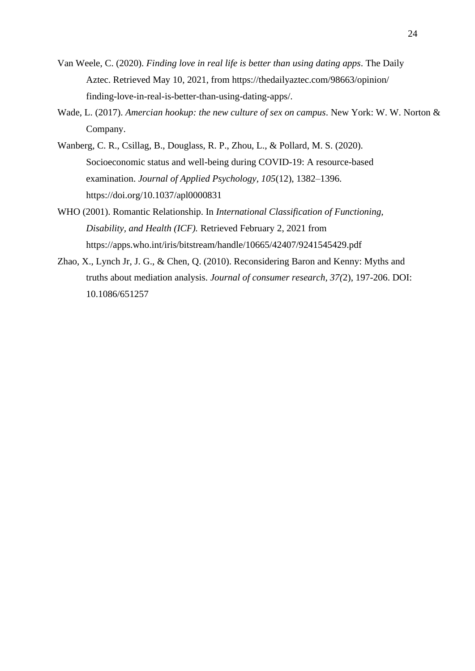- Van Weele, C. (2020). *Finding love in real life is better than using dating apps*. The Daily Aztec. Retrieved May 10, 2021, from https://thedailyaztec.com/98663/opinion/ finding-love-in-real-is-better-than-using-dating-apps/.
- Wade, L. (2017). *Amercian hookup: the new culture of sex on campus*. New York: W. W. Norton & Company.
- Wanberg, C. R., Csillag, B., Douglass, R. P., Zhou, L., & Pollard, M. S. (2020). Socioeconomic status and well-being during COVID-19: A resource-based examination. *Journal of Applied Psychology, 105*(12), 1382–1396. [https://doi.org/10.1037/apl0000831](https://psycnet.apa.org/doi/10.1037/apl0000831)
- WHO (2001). Romantic Relationship. In *International Classification of Functioning, Disability, and Health (ICF).* Retrieved February 2, 2021 from https://apps.who.int/iris/bitstream/handle/10665/42407/9241545429.pdf
- Zhao, X., Lynch Jr, J. G., & Chen, Q. (2010). Reconsidering Baron and Kenny: Myths and truths about mediation analysis. *Journal of consumer research, 37(*2), 197-206. DOI: 10.1086/651257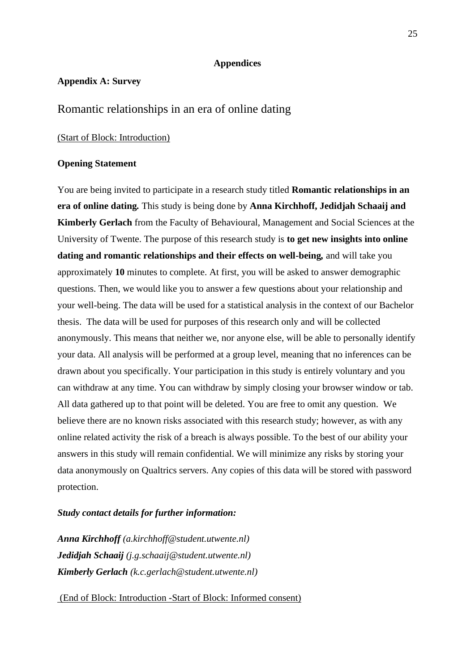# **Appendices**

## <span id="page-24-1"></span><span id="page-24-0"></span>**Appendix A: Survey**

# Romantic relationships in an era of online dating

#### (Start of Block: Introduction)

#### **Opening Statement**

You are being invited to participate in a research study titled **Romantic relationships in an era of online dating***.* This study is being done by **Anna Kirchhoff, Jedidjah Schaaij and Kimberly Gerlach** from the Faculty of Behavioural, Management and Social Sciences at the University of Twente. The purpose of this research study is **to get new insights into online dating and romantic relationships and their effects on well-being***,* and will take you approximately **10** minutes to complete. At first, you will be asked to answer demographic questions. Then, we would like you to answer a few questions about your relationship and your well-being. The data will be used for a statistical analysis in the context of our Bachelor thesis. The data will be used for purposes of this research only and will be collected anonymously. This means that neither we, nor anyone else, will be able to personally identify your data. All analysis will be performed at a group level, meaning that no inferences can be drawn about you specifically. Your participation in this study is entirely voluntary and you can withdraw at any time. You can withdraw by simply closing your browser window or tab. All data gathered up to that point will be deleted. You are free to omit any question. We believe there are no known risks associated with this research study; however, as with any online related activity the risk of a breach is always possible. To the best of our ability your answers in this study will remain confidential. We will minimize any risks by storing your data anonymously on Qualtrics servers. Any copies of this data will be stored with password protection.

## *Study contact details for further information:*

*Anna Kirchhoff (a.kirchhoff@student.utwente.nl) Jedidjah Schaaij (j.g.schaaij@student.utwente.nl) Kimberly Gerlach (k.c.gerlach@student.utwente.nl)*

(End of Block: Introduction -Start of Block: Informed consent)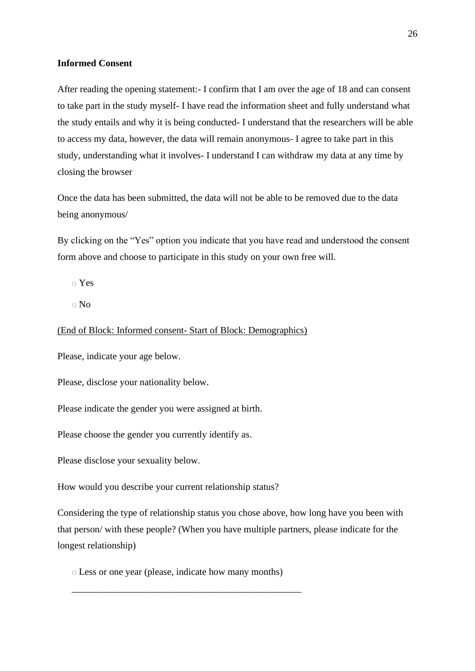# **Informed Consent**

After reading the opening statement:- I confirm that I am over the age of 18 and can consent to take part in the study myself- I have read the information sheet and fully understand what the study entails and why it is being conducted- I understand that the researchers will be able to access my data, however, the data will remain anonymous- I agree to take part in this study, understanding what it involves- I understand I can withdraw my data at any time by closing the browser

Once the data has been submitted, the data will not be able to be removed due to the data being anonymous/

By clicking on the "Yes" option you indicate that you have read and understood the consent form above and choose to participate in this study on your own free will.

o Yes

o No

(End of Block: Informed consent- Start of Block: Demographics)

Please, indicate your age below.

Please, disclose your nationality below.

Please indicate the gender you were assigned at birth.

Please choose the gender you currently identify as.

Please disclose your sexuality below.

How would you describe your current relationship status?

Considering the type of relationship status you chose above, how long have you been with that person/ with these people? (When you have multiple partners, please indicate for the longest relationship)

o Less or one year (please, indicate how many months)

\_\_\_\_\_\_\_\_\_\_\_\_\_\_\_\_\_\_\_\_\_\_\_\_\_\_\_\_\_\_\_\_\_\_\_\_\_\_\_\_\_\_\_\_\_\_\_\_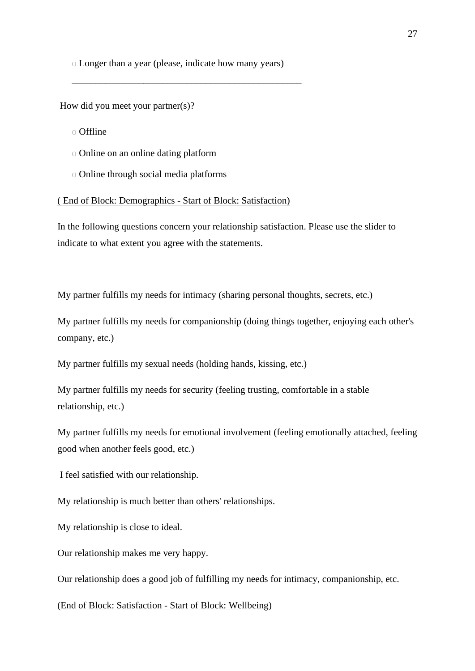o Longer than a year (please, indicate how many years)

\_\_\_\_\_\_\_\_\_\_\_\_\_\_\_\_\_\_\_\_\_\_\_\_\_\_\_\_\_\_\_\_\_\_\_\_\_\_\_\_\_\_\_\_\_\_\_\_

How did you meet your partner(s)?

- o Offline
- o Online on an online dating platform
- o Online through social media platforms

#### ( End of Block: Demographics - Start of Block: Satisfaction)

In the following questions concern your relationship satisfaction. Please use the slider to indicate to what extent you agree with the statements.

My partner fulfills my needs for intimacy (sharing personal thoughts, secrets, etc.)

My partner fulfills my needs for companionship (doing things together, enjoying each other's company, etc.)

My partner fulfills my sexual needs (holding hands, kissing, etc.)

My partner fulfills my needs for security (feeling trusting, comfortable in a stable relationship, etc.)

My partner fulfills my needs for emotional involvement (feeling emotionally attached, feeling good when another feels good, etc.)

I feel satisfied with our relationship.

My relationship is much better than others' relationships.

My relationship is close to ideal.

Our relationship makes me very happy.

Our relationship does a good job of fulfilling my needs for intimacy, companionship, etc.

(End of Block: Satisfaction - Start of Block: Wellbeing)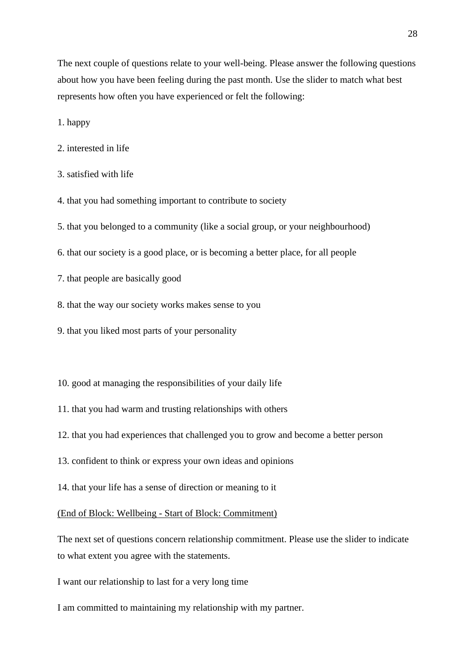The next couple of questions relate to your well-being. Please answer the following questions about how you have been feeling during the past month. Use the slider to match what best represents how often you have experienced or felt the following:

1. happy

- 2. interested in life
- 3. satisfied with life
- 4. that you had something important to contribute to society
- 5. that you belonged to a community (like a social group, or your neighbourhood)
- 6. that our society is a good place, or is becoming a better place, for all people
- 7. that people are basically good
- 8. that the way our society works makes sense to you
- 9. that you liked most parts of your personality
- 10. good at managing the responsibilities of your daily life
- 11. that you had warm and trusting relationships with others
- 12. that you had experiences that challenged you to grow and become a better person
- 13. confident to think or express your own ideas and opinions
- 14. that your life has a sense of direction or meaning to it

## (End of Block: Wellbeing - Start of Block: Commitment)

The next set of questions concern relationship commitment. Please use the slider to indicate to what extent you agree with the statements.

I want our relationship to last for a very long time

I am committed to maintaining my relationship with my partner.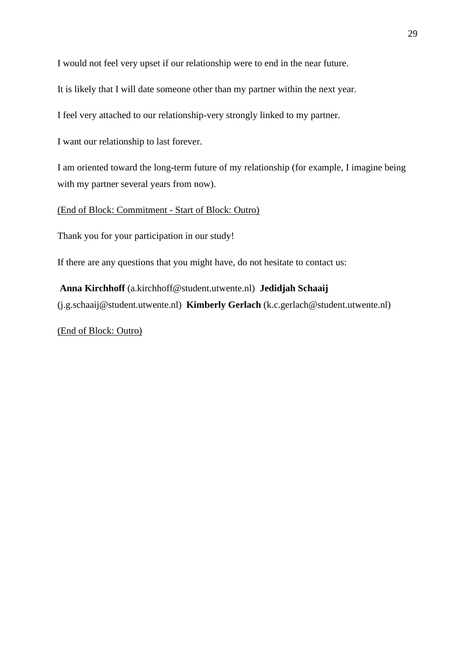I would not feel very upset if our relationship were to end in the near future.

It is likely that I will date someone other than my partner within the next year.

I feel very attached to our relationship-very strongly linked to my partner.

I want our relationship to last forever.

I am oriented toward the long-term future of my relationship (for example, I imagine being with my partner several years from now).

(End of Block: Commitment - Start of Block: Outro)

Thank you for your participation in our study!

If there are any questions that you might have, do not hesitate to contact us:

**Anna Kirchhoff** (a.kirchhoff@student.utwente.nl) **Jedidjah Schaaij**  (j.g.schaaij@student.utwente.nl) **Kimberly Gerlach** (k.c.gerlach@student.utwente.nl)

(End of Block: Outro)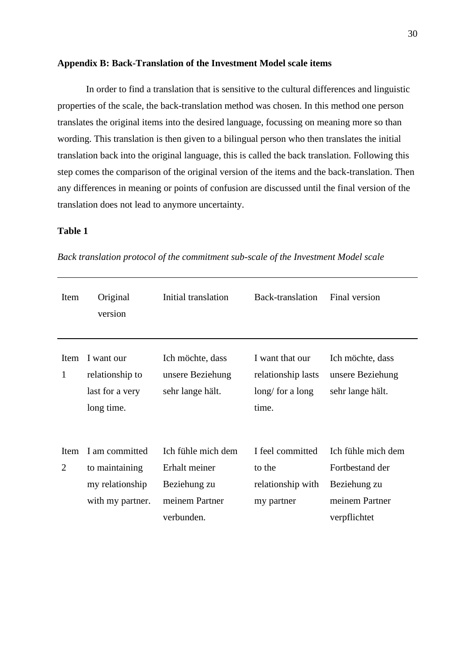#### <span id="page-29-0"></span>**Appendix B: Back-Translation of the Investment Model scale items**

In order to find a translation that is sensitive to the cultural differences and linguistic properties of the scale, the back-translation method was chosen. In this method one person translates the original items into the desired language, focussing on meaning more so than wording. This translation is then given to a bilingual person who then translates the initial translation back into the original language, this is called the back translation. Following this step comes the comparison of the original version of the items and the back-translation. Then any differences in meaning or points of confusion are discussed until the final version of the translation does not lead to anymore uncertainty.

# **Table 1**

| Item                          | Original<br>version                                                     | Initial translation                                                                 | Back-translation                                                    | Final version                                                                           |
|-------------------------------|-------------------------------------------------------------------------|-------------------------------------------------------------------------------------|---------------------------------------------------------------------|-----------------------------------------------------------------------------------------|
| Item<br>$\mathbf{1}$          | I want our<br>relationship to<br>last for a very<br>long time.          | Ich möchte, dass<br>unsere Beziehung<br>sehr lange hält.                            | I want that our<br>relationship lasts<br>$\log$ for a long<br>time. | Ich möchte, dass<br>unsere Beziehung<br>sehr lange hält.                                |
| <b>Item</b><br>$\overline{2}$ | I am committed<br>to maintaining<br>my relationship<br>with my partner. | Ich fühle mich dem<br>Erhalt meiner<br>Beziehung zu<br>meinem Partner<br>verbunden. | I feel committed<br>to the<br>relationship with<br>my partner       | Ich fühle mich dem<br>Fortbestand der<br>Beziehung zu<br>meinem Partner<br>verpflichtet |

*Back translation protocol of the commitment sub-scale of the Investment Model scale*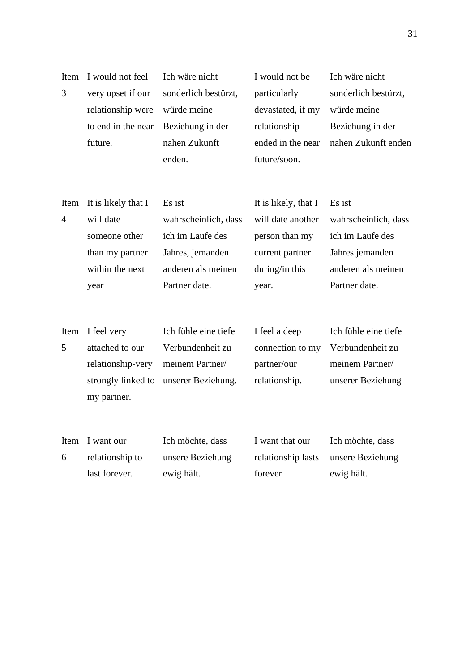| Item<br>3              | I would not feel<br>very upset if our<br>relationship were<br>to end in the near<br>future.     | Ich wäre nicht<br>sonderlich bestürzt,<br>würde meine<br>Beziehung in der<br>nahen Zukunft<br>enden.          | I would not be<br>particularly<br>devastated, if my<br>relationship<br>ended in the near<br>future/soon.  | Ich wäre nicht<br>sonderlich bestürzt,<br>würde meine<br>Beziehung in der<br>nahen Zukunft enden             |
|------------------------|-------------------------------------------------------------------------------------------------|---------------------------------------------------------------------------------------------------------------|-----------------------------------------------------------------------------------------------------------|--------------------------------------------------------------------------------------------------------------|
| Item<br>$\overline{4}$ | It is likely that I<br>will date<br>someone other<br>than my partner<br>within the next<br>year | Es ist<br>wahrscheinlich, dass<br>ich im Laufe des<br>Jahres, jemanden<br>anderen als meinen<br>Partner date. | It is likely, that I<br>will date another<br>person than my<br>current partner<br>during/in this<br>year. | Es ist<br>wahrscheinlich, dass<br>ich im Laufe des<br>Jahres jemanden<br>anderen als meinen<br>Partner date. |
| Item<br>5              | I feel very<br>attached to our<br>relationship-very<br>strongly linked to<br>my partner.        | Ich fühle eine tiefe<br>Verbundenheit zu<br>meinem Partner/<br>unserer Beziehung.                             | I feel a deep<br>connection to my<br>partner/our<br>relationship.                                         | Ich fühle eine tiefe<br>Verbundenheit zu<br>meinem Partner/<br>unserer Beziehung                             |
| Item<br>6              | I want our<br>relationship to<br>last forever.                                                  | Ich möchte, dass<br>unsere Beziehung<br>ewig hält.                                                            | I want that our<br>relationship lasts<br>forever                                                          | Ich möchte, dass<br>unsere Beziehung<br>ewig hält.                                                           |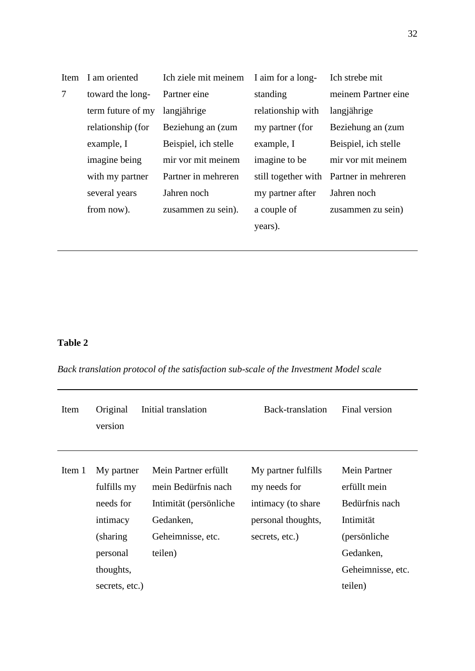| Item | I am oriented     | Ich ziele mit meinem | I aim for a long-   | Ich strebe mit       |
|------|-------------------|----------------------|---------------------|----------------------|
| 7    | toward the long-  | Partner eine         | standing            | meinem Partner eine  |
|      | term future of my | langjährige          | relationship with   | langjährige          |
|      | relationship (for | Beziehung an (zum    | my partner (for     | Beziehung an (zum    |
|      | example, I        | Beispiel, ich stelle | example, I          | Beispiel, ich stelle |
|      | imagine being     | mir vor mit meinem   | imagine to be       | mir vor mit meinem   |
|      | with my partner   | Partner in mehreren  | still together with | Partner in mehreren  |
|      | several years     | Jahren noch          | my partner after    | Jahren noch          |
|      | from now).        | zusammen zu sein).   | a couple of         | zusammen zu sein)    |
|      |                   |                      | years).             |                      |
|      |                   |                      |                     |                      |

# **Table 2**

*Back translation protocol of the satisfaction sub-scale of the Investment Model scale*

| Item   | Original<br>Initial translation<br>version                                                                 |                                                                                                                    | Back-translation                                                                                  | Final version                                                                                                                   |
|--------|------------------------------------------------------------------------------------------------------------|--------------------------------------------------------------------------------------------------------------------|---------------------------------------------------------------------------------------------------|---------------------------------------------------------------------------------------------------------------------------------|
| Item 1 | My partner<br>fulfills my<br>needs for<br>intimacy<br>(sharing)<br>personal<br>thoughts,<br>secrets, etc.) | Mein Partner erfüllt<br>mein Bedürfnis nach<br>Intimität (persönliche<br>Gedanken,<br>Geheimnisse, etc.<br>teilen) | My partner fulfills<br>my needs for<br>intimacy (to share<br>personal thoughts,<br>secrets, etc.) | <b>Mein Partner</b><br>erfüllt mein<br>Bedürfnis nach<br>Intimität<br>(persönliche<br>Gedanken,<br>Geheimnisse, etc.<br>teilen) |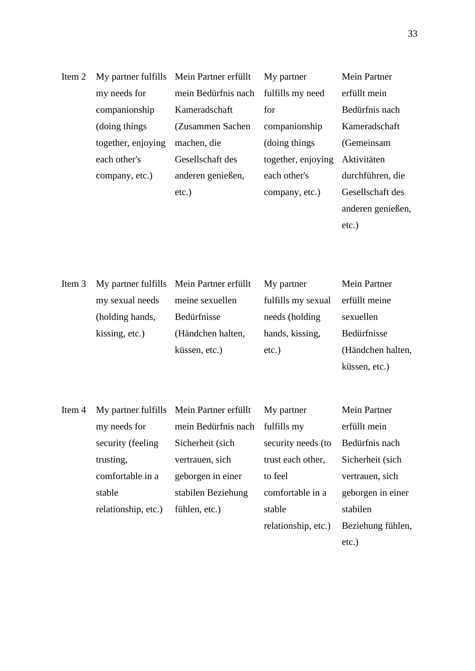| Item 2 |                    | My partner fulfills Mein Partner erfüllt | My partner         | Mein Partner      |
|--------|--------------------|------------------------------------------|--------------------|-------------------|
|        | my needs for       | mein Bedürfnis nach                      | fulfills my need   | erfüllt mein      |
|        | companionship      | Kameradschaft                            | for                | Bedürfnis nach    |
|        | (doing things)     | (Zusammen Sachen)                        | companionship      | Kameradschaft     |
|        | together, enjoying | machen, die                              | (doing things)     | (Gemeinsam        |
|        | each other's       | Gesellschaft des                         | together, enjoying | Aktivitäten       |
|        | company, etc.)     | anderen genießen,                        | each other's       | durchführen, die  |
|        |                    | $etc.$ )                                 | company, etc.)     | Gesellschaft des  |
|        |                    |                                          |                    | anderen genießen, |

etc.)

| Item 3 |                 | My partner fulfills Mein Partner erfüllt | My partner         | <b>Mein Partner</b> |
|--------|-----------------|------------------------------------------|--------------------|---------------------|
|        | my sexual needs | meine sexuellen                          | fulfills my sexual | erfüllt meine       |
|        | (holding hands, | Bedürfnisse                              | needs (holding     | sexuellen           |
|        | kissing, etc.)  | (Händchen halten,                        | hands, kissing,    | Bedürfnisse         |
|        |                 | küssen, etc.)                            | $etc.$ )           | (Händchen halten,   |
|        |                 |                                          |                    | küssen, etc.)       |

| Item 4 |                     | My partner fulfills Mein Partner erfüllt | My partner          | <b>Mein Partner</b> |
|--------|---------------------|------------------------------------------|---------------------|---------------------|
|        | my needs for        | mein Bedürfnis nach                      | fulfills my         | erfüllt mein        |
|        | security (feeling)  | Sicherheit (sich                         | security needs (to  | Bedürfnis nach      |
|        | trusting,           | vertrauen, sich                          | trust each other,   | Sicherheit (sich    |
|        | comfortable in a    | geborgen in einer                        | to feel             | vertrauen, sich     |
|        | stable              | stabilen Beziehung                       | comfortable in a    | geborgen in einer   |
|        | relationship, etc.) | fühlen, etc.)                            | stable              | stabilen            |
|        |                     |                                          | relationship, etc.) | Beziehung fühlen,   |
|        |                     |                                          |                     |                     |

etc.)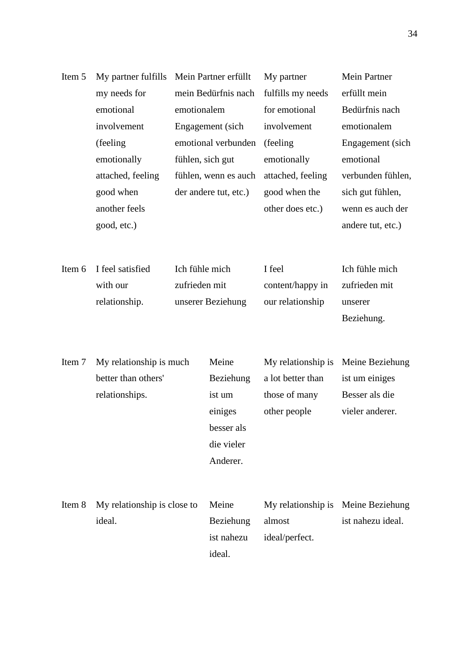| Item 5 | My partner fulfills                |                  | Mein Partner erfüllt  | My partner         | <b>Mein Partner</b> |
|--------|------------------------------------|------------------|-----------------------|--------------------|---------------------|
|        | my needs for                       |                  | mein Bedürfnis nach   | fulfills my needs  | erfüllt mein        |
|        | emotional                          | emotionalem      |                       | for emotional      | Bedürfnis nach      |
|        | involvement<br>(feeling)           |                  | Engagement (sich      | involvement        | emotionalem         |
|        |                                    |                  | emotional verbunden   | (feeling)          | Engagement (sich    |
|        | emotionally                        | fühlen, sich gut |                       | emotionally        | emotional           |
|        | attached, feeling                  |                  | fühlen, wenn es auch  | attached, feeling  | verbunden fühlen,   |
|        | good when                          |                  | der andere tut, etc.) | good when the      | sich gut fühlen,    |
|        | another feels                      |                  |                       | other does etc.)   | wenn es auch der    |
|        | good, etc.)                        |                  |                       |                    | andere tut, etc.)   |
|        |                                    |                  |                       |                    |                     |
|        |                                    |                  |                       |                    |                     |
| Item 6 | I feel satisfied<br>Ich fühle mich |                  |                       | I feel             | Ich fühle mich      |
|        | with our                           | zufrieden mit    |                       | content/happy in   | zufrieden mit       |
|        | relationship.                      |                  | unserer Beziehung     | our relationship   | unserer             |
|        |                                    |                  |                       |                    | Beziehung.          |
|        |                                    |                  |                       |                    |                     |
| Item 7 | My relationship is much            |                  | Meine                 | My relationship is | Meine Beziehung     |
|        | better than others'                |                  | Beziehung             | a lot better than  | ist um einiges      |
|        | relationships.                     |                  | ist um                | those of many      | Besser als die      |
|        |                                    |                  | einiges               | other people       | vieler anderer.     |
|        |                                    |                  | besser als            |                    |                     |
|        |                                    |                  | die vieler            |                    |                     |
|        |                                    |                  | Anderer.              |                    |                     |
|        |                                    |                  |                       |                    |                     |
|        |                                    |                  |                       |                    |                     |
| Item 8 | My relationship is close to        |                  | Meine                 | My relationship is | Meine Beziehung     |
|        | ideal.                             |                  | Beziehung             | almost             | ist nahezu ideal.   |
|        |                                    |                  | ist nahezu            | ideal/perfect.     |                     |
|        |                                    |                  | ideal.                |                    |                     |